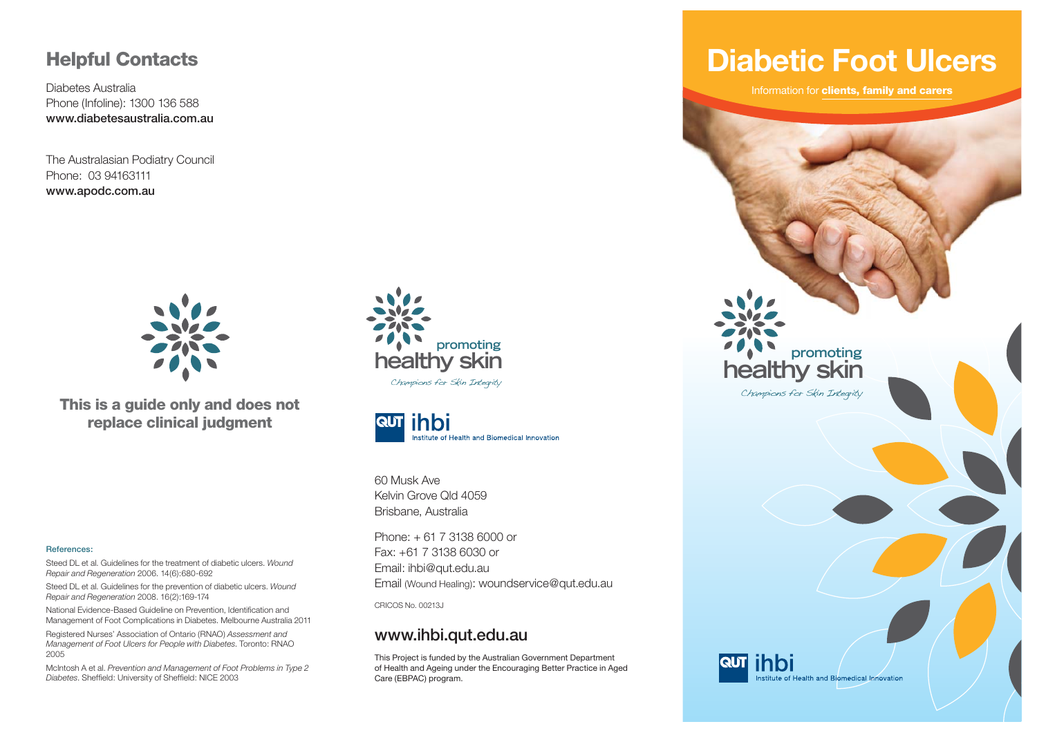#### **Helpful Contacts**

Diabetes AustraliaPhone (Infoline): 1300 136 588 **www.diabetesaustralia.com.au**

The Australasian Podiatry Council Phone: 03 94163111**www.apodc.com.au**



**This is a guide only and does not replace clinical judgment**

#### **References:**

Steed DL et al. Guidelines for the treatment of diabetic ulcers. *Wound Repair and Regeneration* 2006. 14(6):680-692

Steed DL et al. Guidelines for the prevention of diabetic ulcers. *Wound Repair and Regeneration* 2008. 16(2):169-174

National Evidence-Based Guideline on Prevention, Identification and Management of Foot Complications in Diabetes. Melbourne Australia 2011

Registered Nurses' Association of Ontario (RNAO) *Assessment and Management of Foot Ulcers for People with Diabetes*. Toronto: RNAO 2005

McIntosh A et al. *Prevention and Management of Foot Problems in Type 2 Diabetes*. Sheffield: University of Sheffield: NICE 2003





60 Musk AveKelvin Grove Qld 4059Brisbane, Australia

Phone: + 61 7 3138 6000 or Fax: +61 7 3138 6030 or Email: ihbi@qut.edu.au Email (Wound Healing): woundservice@qut.edu.au

CRICOS No. 00213J

#### **www.ihbi.qut.edu.au**

This Project is funded by the Australian Government Department of Health and Ageing under the Encouraging Better Practice in Aged Care (EBPAC) program.

## **Diabetic Foot Ulcers**

Information for **clients, family and carers**